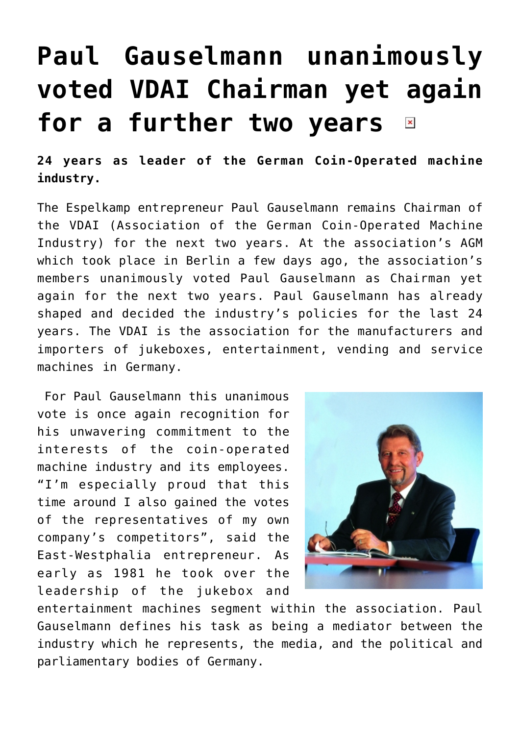## **[Paul Gauselmann unanimously](https://www.isa-guide.de/english-news/articles/9077.html) [voted VDAI Chairman yet again](https://www.isa-guide.de/english-news/articles/9077.html) [for a further two years](https://www.isa-guide.de/english-news/articles/9077.html)**   $\pmb{\times}$

**24 years as leader of the German Coin-Operated machine industry.**

The Espelkamp entrepreneur Paul Gauselmann remains Chairman of the VDAI (Association of the German Coin-Operated Machine Industry) for the next two years. At the association's AGM which took place in Berlin a few days ago, the association's members unanimously voted Paul Gauselmann as Chairman yet again for the next two years. Paul Gauselmann has already shaped and decided the industry's policies for the last 24 years. The VDAI is the association for the manufacturers and importers of jukeboxes, entertainment, vending and service machines in Germany.

 For Paul Gauselmann this unanimous vote is once again recognition for his unwavering commitment to the interests of the coin-operated machine industry and its employees. "I'm especially proud that this time around I also gained the votes of the representatives of my own company's competitors", said the East-Westphalia entrepreneur. As early as 1981 he took over the leadership of the jukebox and



entertainment machines segment within the association. Paul Gauselmann defines his task as being a mediator between the industry which he represents, the media, and the political and parliamentary bodies of Germany.